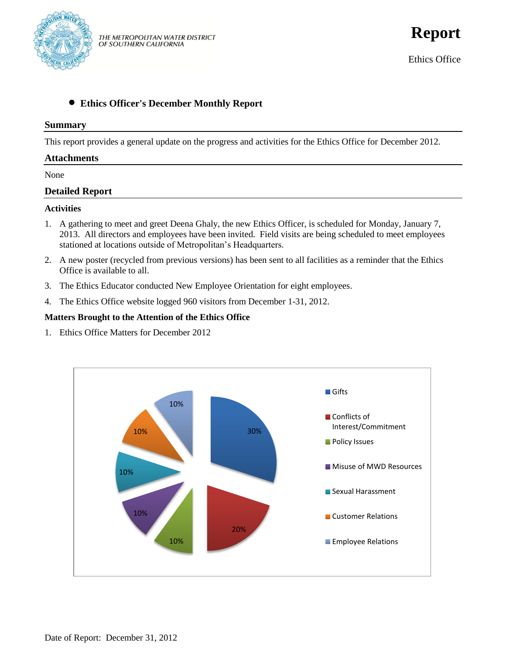

**Report**

Ethics Office

# **Ethics Officer's December Monthly Report**

#### **Summary**

This report provides a general update on the progress and activities for the Ethics Office for December 2012.

### **Attachments**

None

### **Detailed Report**

#### **Activities**

- 1. A gathering to meet and greet Deena Ghaly, the new Ethics Officer, is scheduled for Monday, January 7, 2013. All directors and employees have been invited. Field visits are being scheduled to meet employees stationed at locations outside of Metropolitan's Headquarters.
- 2. A new poster (recycled from previous versions) has been sent to all facilities as a reminder that the Ethics Office is available to all.
- 3. The Ethics Educator conducted New Employee Orientation for eight employees.
- 4. The Ethics Office website logged 960 visitors from December 1-31, 2012.

#### **Matters Brought to the Attention of the Ethics Office**

1. Ethics Office Matters for December 2012